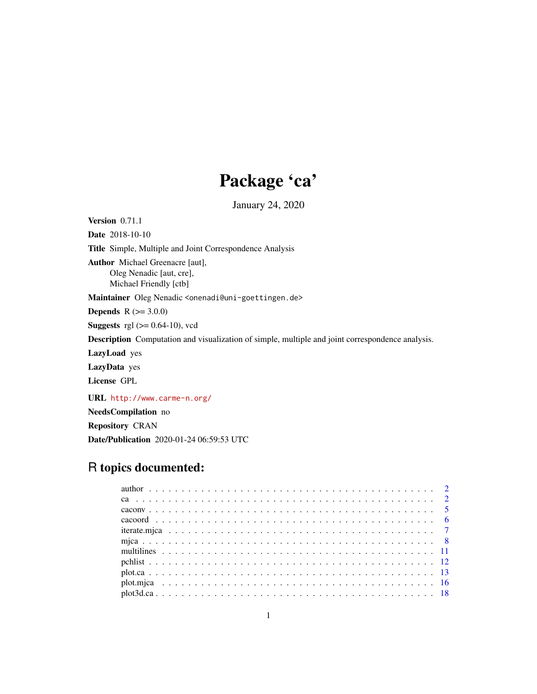# Package 'ca'

January 24, 2020

<span id="page-0-0"></span>Version 0.71.1 Date 2018-10-10 Title Simple, Multiple and Joint Correspondence Analysis Author Michael Greenacre [aut], Oleg Nenadic [aut, cre], Michael Friendly [ctb] Maintainer Oleg Nenadic <onenadi@uni-goettingen.de> **Depends**  $R (= 3.0.0)$ **Suggests** rgl  $(>= 0.64-10)$ , vcd Description Computation and visualization of simple, multiple and joint correspondence analysis. LazyLoad yes LazyData yes License GPL URL <http://www.carme-n.org/> NeedsCompilation no Repository CRAN

# Date/Publication 2020-01-24 06:59:53 UTC

# R topics documented: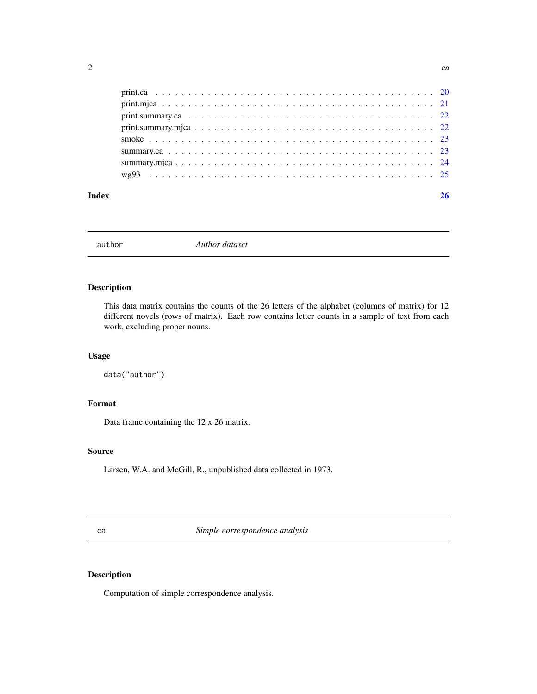<span id="page-1-0"></span>

| Index |  |
|-------|--|

author *Author dataset*

# Description

This data matrix contains the counts of the 26 letters of the alphabet (columns of matrix) for 12 different novels (rows of matrix). Each row contains letter counts in a sample of text from each work, excluding proper nouns.

# Usage

data("author")

# Format

Data frame containing the 12 x 26 matrix.

# Source

Larsen, W.A. and McGill, R., unpublished data collected in 1973.

<span id="page-1-1"></span>ca *Simple correspondence analysis*

# Description

Computation of simple correspondence analysis.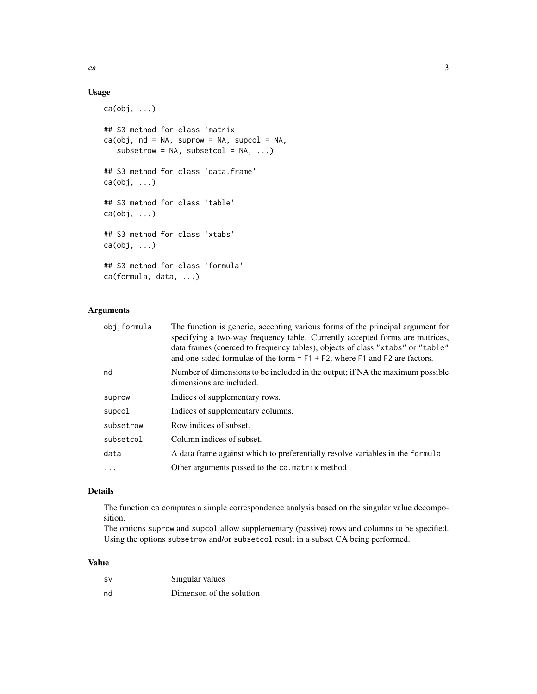# Usage

```
ca(obj, ...)
## S3 method for class 'matrix'
ca(obj, nd = NA, suprow = NA, supcol = NA,subsetrow = NA, subsetcol = NA, ...)
## S3 method for class 'data.frame'
ca(obj, \ldots)## S3 method for class 'table'
ca(obj, \ldots)## S3 method for class 'xtabs'
ca(obj, ...)
## S3 method for class 'formula'
ca(formula, data, ...)
```
# Arguments

| obj.formula | The function is generic, accepting various forms of the principal argument for<br>specifying a two-way frequency table. Currently accepted forms are matrices,<br>data frames (coerced to frequency tables), objects of class "xtabs" or "table"<br>and one-sided formulae of the form $\sim$ F1 + F2, where F1 and F2 are factors. |
|-------------|-------------------------------------------------------------------------------------------------------------------------------------------------------------------------------------------------------------------------------------------------------------------------------------------------------------------------------------|
| nd          | Number of dimensions to be included in the output; if NA the maximum possible<br>dimensions are included.                                                                                                                                                                                                                           |
| suprow      | Indices of supplementary rows.                                                                                                                                                                                                                                                                                                      |
| supcol      | Indices of supplementary columns.                                                                                                                                                                                                                                                                                                   |
| subsetrow   | Row indices of subset.                                                                                                                                                                                                                                                                                                              |
| subsetcol   | Column indices of subset.                                                                                                                                                                                                                                                                                                           |
| data        | A data frame against which to preferentially resolve variables in the formula                                                                                                                                                                                                                                                       |
| $\ddots$    | Other arguments passed to the ca. matrix method                                                                                                                                                                                                                                                                                     |
|             |                                                                                                                                                                                                                                                                                                                                     |

# Details

The function ca computes a simple correspondence analysis based on the singular value decomposition.

The options suprow and supcol allow supplementary (passive) rows and columns to be specified. Using the options subsetrow and/or subsetcol result in a subset CA being performed.

# Value

| SV | Singular values          |
|----|--------------------------|
| nd | Dimenson of the solution |

ca  $\sim$  3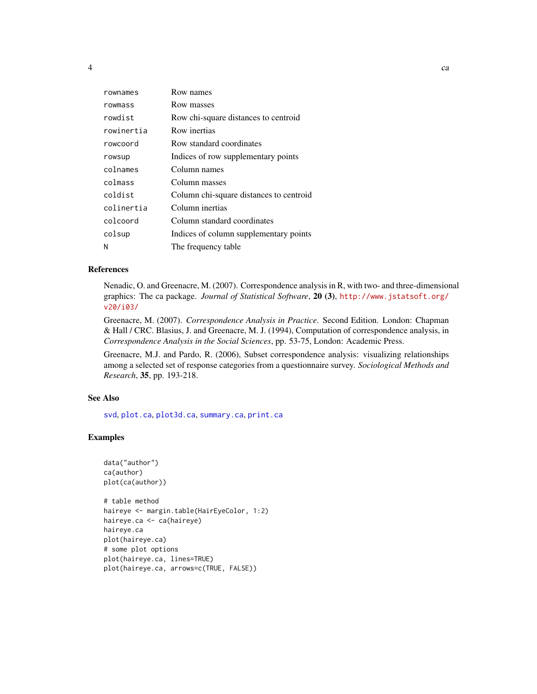<span id="page-3-0"></span>

| rownames   | Row names                               |
|------------|-----------------------------------------|
| rowmass    | Row masses                              |
| rowdist    | Row chi-square distances to centroid    |
| rowinertia | Row inertias                            |
| rowcoord   | Row standard coordinates                |
| rowsup     | Indices of row supplementary points     |
| colnames   | Column names                            |
| colmass    | Column masses                           |
| coldist    | Column chi-square distances to centroid |
| colinertia | Column inertias                         |
| colcoord   | Column standard coordinates             |
| colsup     | Indices of column supplementary points  |
| N          | The frequency table                     |

# References

Nenadic, O. and Greenacre, M. (2007). Correspondence analysis in R, with two- and three-dimensional graphics: The ca package. *Journal of Statistical Software*, 20 (3), [http://www.jstatsoft.org/](http://www.jstatsoft.org/v20/i03/) [v20/i03/](http://www.jstatsoft.org/v20/i03/)

Greenacre, M. (2007). *Correspondence Analysis in Practice*. Second Edition. London: Chapman & Hall / CRC. Blasius, J. and Greenacre, M. J. (1994), Computation of correspondence analysis, in *Correspondence Analysis in the Social Sciences*, pp. 53-75, London: Academic Press.

Greenacre, M.J. and Pardo, R. (2006), Subset correspondence analysis: visualizing relationships among a selected set of response categories from a questionnaire survey. *Sociological Methods and Research*, 35, pp. 193-218.

#### See Also

[svd](#page-0-0), [plot.ca](#page-12-1), [plot3d.ca](#page-17-1), [summary.ca](#page-22-1), [print.ca](#page-19-1)

#### Examples

```
data("author")
ca(author)
plot(ca(author))
# table method
haireye <- margin.table(HairEyeColor, 1:2)
haireye.ca <- ca(haireye)
haireye.ca
plot(haireye.ca)
# some plot options
plot(haireye.ca, lines=TRUE)
plot(haireye.ca, arrows=c(TRUE, FALSE))
```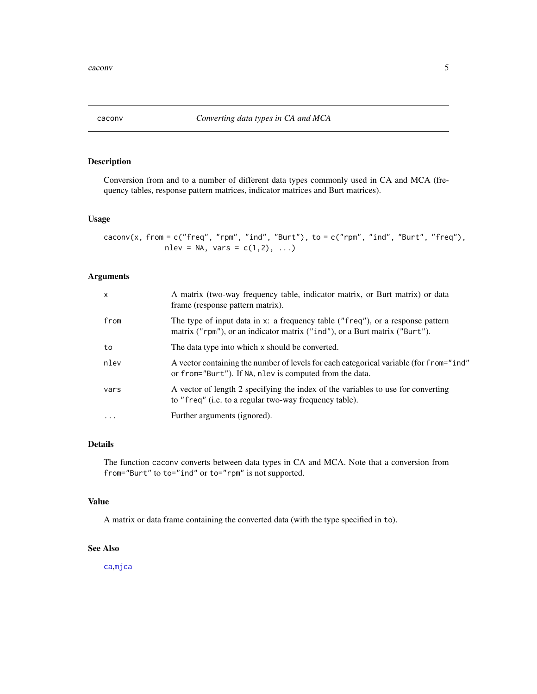<span id="page-4-0"></span>

Conversion from and to a number of different data types commonly used in CA and MCA (frequency tables, response pattern matrices, indicator matrices and Burt matrices).

#### Usage

```
caconv(x, from = c("freq", "rpm", "ind", "Burt"), to = <math>c("rpm", "ind", "Burt", "freq"),nlev = NA, vars = c(1,2), ...)
```
# Arguments

| $\mathsf{x}$ | A matrix (two-way frequency table, indicator matrix, or Burt matrix) or data<br>frame (response pattern matrix).                                             |
|--------------|--------------------------------------------------------------------------------------------------------------------------------------------------------------|
| from         | The type of input data in x: a frequency table ("freq"), or a response pattern<br>matrix ("rpm"), or an indicator matrix ("ind"), or a Burt matrix ("Burt"). |
| to           | The data type into which x should be converted.                                                                                                              |
| nlev         | A vector containing the number of levels for each categorical variable (for from = "ind"<br>or from="Burt"). If NA, nlev is computed from the data.          |
| vars         | A vector of length 2 specifying the index of the variables to use for converting<br>to "freq" (i.e. to a regular two-way frequency table).                   |
| $\ddotsc$    | Further arguments (ignored).                                                                                                                                 |
|              |                                                                                                                                                              |

# Details

The function caconv converts between data types in CA and MCA. Note that a conversion from from="Burt" to to="ind" or to="rpm" is not supported.

# Value

A matrix or data frame containing the converted data (with the type specified in to).

# See Also

[ca](#page-1-1),[mjca](#page-7-1)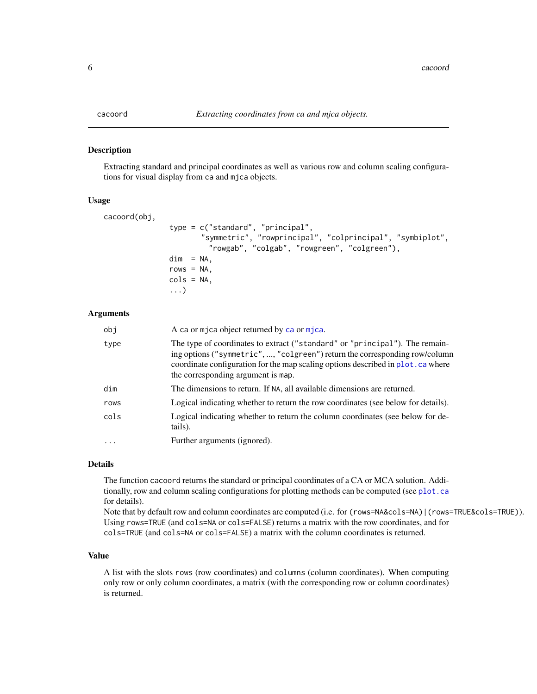<span id="page-5-0"></span>Extracting standard and principal coordinates as well as various row and column scaling configurations for visual display from ca and mjca objects.

#### Usage

```
cacoord(obj,
               type = c("standard", "principal",
                       "symmetric", "rowprincipal", "colprincipal", "symbiplot",
                        "rowgab", "colgab", "rowgreen", "colgreen"),
               dim = NA,
               rows = NA,cols = NA,
               ...)
```
#### Arguments

| obj        | A ca or mjca object returned by ca or mjca.                                                                                                                                                                                                                                          |
|------------|--------------------------------------------------------------------------------------------------------------------------------------------------------------------------------------------------------------------------------------------------------------------------------------|
| type       | The type of coordinates to extract ("standard" or "principal"). The remain-<br>ing options ("symmetric", , "colgreen") return the corresponding row/column<br>coordinate configuration for the map scaling options described in plot. ca where<br>the corresponding argument is map. |
| dim        | The dimensions to return. If NA, all available dimensions are returned.                                                                                                                                                                                                              |
| rows       | Logical indicating whether to return the row coordinates (see below for details).                                                                                                                                                                                                    |
| cols       | Logical indicating whether to return the column coordinates (see below for de-<br>tails).                                                                                                                                                                                            |
| $\ddots$ . | Further arguments (ignored).                                                                                                                                                                                                                                                         |

# Details

The function cacoord returns the standard or principal coordinates of a CA or MCA solution. Additionally, row and column scaling configurations for plotting methods can be computed (see [plot.ca](#page-12-1) for details).

Note that by default row and column coordinates are computed (i.e. for (rows=NA&cols=NA)|(rows=TRUE&cols=TRUE)). Using rows=TRUE (and cols=NA or cols=FALSE) returns a matrix with the row coordinates, and for cols=TRUE (and cols=NA or cols=FALSE) a matrix with the column coordinates is returned.

#### Value

A list with the slots rows (row coordinates) and columns (column coordinates). When computing only row or only column coordinates, a matrix (with the corresponding row or column coordinates) is returned.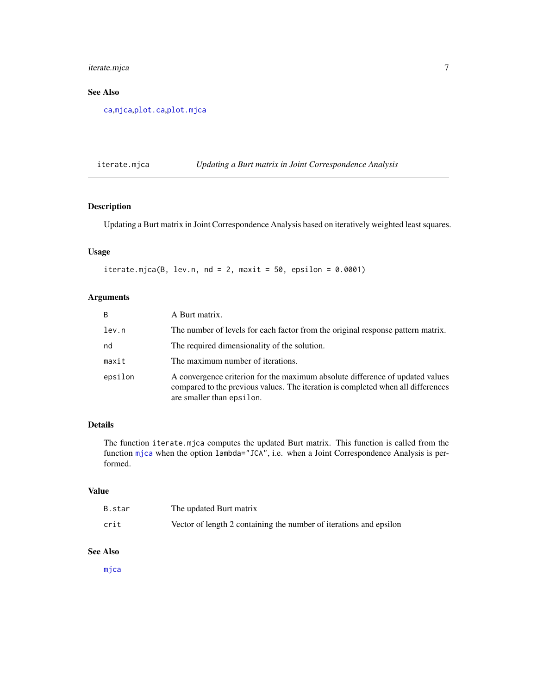# <span id="page-6-0"></span>iterate.mjca 7

# See Also

[ca](#page-1-1),[mjca](#page-7-1),[plot.ca](#page-12-1),[plot.mjca](#page-15-1)

iterate.mjca *Updating a Burt matrix in Joint Correspondence Analysis*

# Description

Updating a Burt matrix in Joint Correspondence Analysis based on iteratively weighted least squares.

# Usage

iterate.mjca(B, lev.n, nd = 2, maxit = 50, epsilon =  $0.0001$ )

# Arguments

| B       | A Burt matrix.                                                                                                                                                                                 |
|---------|------------------------------------------------------------------------------------------------------------------------------------------------------------------------------------------------|
| lev.n   | The number of levels for each factor from the original response pattern matrix.                                                                                                                |
| nd      | The required dimensionality of the solution.                                                                                                                                                   |
| maxit   | The maximum number of iterations.                                                                                                                                                              |
| epsilon | A convergence criterion for the maximum absolute difference of updated values<br>compared to the previous values. The iteration is completed when all differences<br>are smaller than epsilon. |

# Details

The function iterate.mjca computes the updated Burt matrix. This function is called from the function [mjca](#page-7-1) when the option lambda="JCA", i.e. when a Joint Correspondence Analysis is performed.

#### Value

| B.star | The updated Burt matrix                                            |
|--------|--------------------------------------------------------------------|
| crit   | Vector of length 2 containing the number of iterations and epsilon |

#### See Also

[mjca](#page-7-1)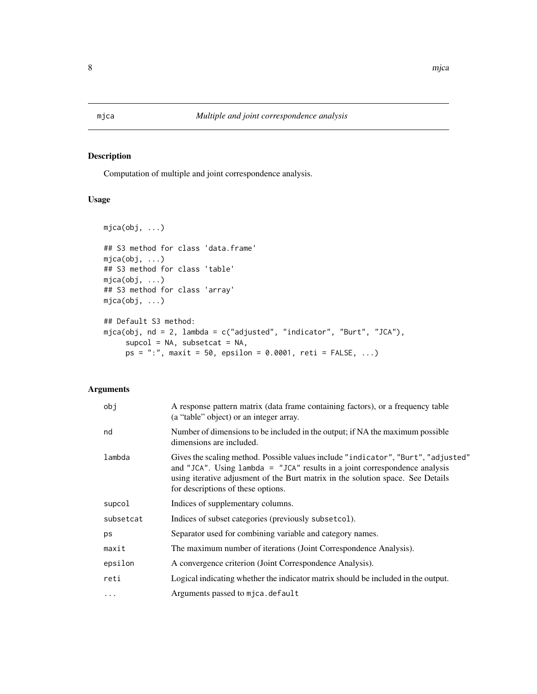Computation of multiple and joint correspondence analysis.

# Usage

```
mjca(obj, ...)
## S3 method for class 'data.frame'
mjca(obj, ...)
## S3 method for class 'table'
mjca(obj, ...)
## S3 method for class 'array'
mjca(obj, ...)
## Default S3 method:
mjca(obj, nd = 2, lambda = c("adjusted", "indicator", "Burt", "JCA"),
     supcol = NA, subsetcat = NA,
     ps = "::", maxit = 50, epsilon = 0.0001, reti = FALSE, ...)
```

| obj       | A response pattern matrix (data frame containing factors), or a frequency table<br>(a "table" object) or an integer array.                                                                                                                                                                  |
|-----------|---------------------------------------------------------------------------------------------------------------------------------------------------------------------------------------------------------------------------------------------------------------------------------------------|
| nd        | Number of dimensions to be included in the output; if NA the maximum possible<br>dimensions are included.                                                                                                                                                                                   |
| lambda    | Gives the scaling method. Possible values include "indicator", "Burt", "adjusted"<br>and "JCA". Using $l$ ambda = "JCA" results in a joint correspondence analysis<br>using iterative adjusment of the Burt matrix in the solution space. See Details<br>for descriptions of these options. |
| supcol    | Indices of supplementary columns.                                                                                                                                                                                                                                                           |
| subsetcat | Indices of subset categories (previously subsetcol).                                                                                                                                                                                                                                        |
| ps        | Separator used for combining variable and category names.                                                                                                                                                                                                                                   |
| maxit     | The maximum number of iterations (Joint Correspondence Analysis).                                                                                                                                                                                                                           |
| epsilon   | A convergence criterion (Joint Correspondence Analysis).                                                                                                                                                                                                                                    |
| reti      | Logical indicating whether the indicator matrix should be included in the output.                                                                                                                                                                                                           |
| $\ddotsc$ | Arguments passed to mjca.default                                                                                                                                                                                                                                                            |

<span id="page-7-1"></span><span id="page-7-0"></span>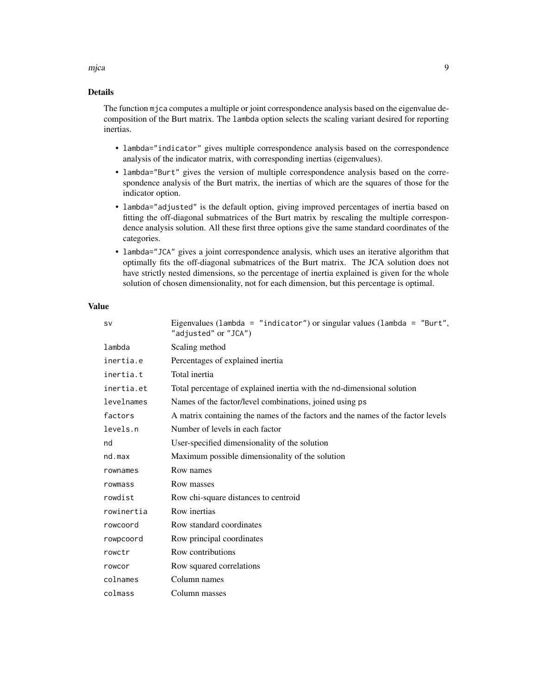#### mjca 9

# Details

The function mjca computes a multiple or joint correspondence analysis based on the eigenvalue decomposition of the Burt matrix. The lambda option selects the scaling variant desired for reporting inertias.

- lambda="indicator" gives multiple correspondence analysis based on the correspondence analysis of the indicator matrix, with corresponding inertias (eigenvalues).
- lambda="Burt" gives the version of multiple correspondence analysis based on the correspondence analysis of the Burt matrix, the inertias of which are the squares of those for the indicator option.
- lambda="adjusted" is the default option, giving improved percentages of inertia based on fitting the off-diagonal submatrices of the Burt matrix by rescaling the multiple correspondence analysis solution. All these first three options give the same standard coordinates of the categories.
- lambda="JCA" gives a joint correspondence analysis, which uses an iterative algorithm that optimally fits the off-diagonal submatrices of the Burt matrix. The JCA solution does not have strictly nested dimensions, so the percentage of inertia explained is given for the whole solution of chosen dimensionality, not for each dimension, but this percentage is optimal.

### Value

| <b>SV</b>  | Eigenvalues (lambda = "indicator") or singular values (lambda = "Burt",<br>"adjusted" or "JCA") |
|------------|-------------------------------------------------------------------------------------------------|
| lambda     | Scaling method                                                                                  |
| inertia.e  | Percentages of explained inertia                                                                |
| inertia.t  | Total inertia                                                                                   |
| inertia.et | Total percentage of explained inertia with the nd-dimensional solution                          |
| levelnames | Names of the factor/level combinations, joined using ps                                         |
| factors    | A matrix containing the names of the factors and the names of the factor levels                 |
| levels.n   | Number of levels in each factor                                                                 |
| nd         | User-specified dimensionality of the solution                                                   |
| nd.max     | Maximum possible dimensionality of the solution                                                 |
| rownames   | Row names                                                                                       |
| rowmass    | Row masses                                                                                      |
| rowdist    | Row chi-square distances to centroid                                                            |
| rowinertia | Row inertias                                                                                    |
| rowcoord   | Row standard coordinates                                                                        |
| rowpcoord  | Row principal coordinates                                                                       |
| rowctr     | Row contributions                                                                               |
| rowcor     | Row squared correlations                                                                        |
| colnames   | Column names                                                                                    |
| colmass    | Column masses                                                                                   |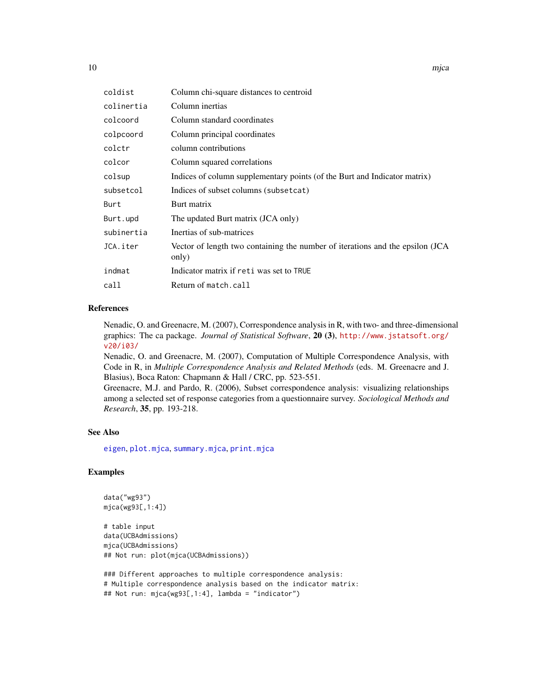<span id="page-9-0"></span>

| coldist    | Column chi-square distances to centroid                                                |
|------------|----------------------------------------------------------------------------------------|
| colinertia | Column inertias                                                                        |
| colcoord   | Column standard coordinates                                                            |
| colpcoord  | Column principal coordinates                                                           |
| colctr     | column contributions                                                                   |
| colcor     | Column squared correlations                                                            |
| colsup     | Indices of column supplementary points (of the Burt and Indicator matrix)              |
| subsetcol  | Indices of subset columns (subsetcat)                                                  |
| Burt       | Burt matrix                                                                            |
| Burt.upd   | The updated Burt matrix (JCA only)                                                     |
| subinertia | Inertias of sub-matrices                                                               |
| JCA.iter   | Vector of length two containing the number of iterations and the epsilon (JCA<br>only) |
| indmat     | Indicator matrix if reti was set to TRUE                                               |
| call       | Return of match.call                                                                   |
|            |                                                                                        |

# References

Nenadic, O. and Greenacre, M. (2007), Correspondence analysis in R, with two- and three-dimensional graphics: The ca package. *Journal of Statistical Software*, 20 (3), [http://www.jstatsoft.org/](http://www.jstatsoft.org/v20/i03/) [v20/i03/](http://www.jstatsoft.org/v20/i03/)

Nenadic, O. and Greenacre, M. (2007), Computation of Multiple Correspondence Analysis, with Code in R, in *Multiple Correspondence Analysis and Related Methods* (eds. M. Greenacre and J. Blasius), Boca Raton: Chapmann & Hall / CRC, pp. 523-551.

Greenacre, M.J. and Pardo, R. (2006), Subset correspondence analysis: visualizing relationships among a selected set of response categories from a questionnaire survey. *Sociological Methods and Research*, 35, pp. 193-218.

#### See Also

[eigen](#page-0-0), [plot.mjca](#page-15-1), [summary.mjca](#page-23-1), [print.mjca](#page-20-1)

# Examples

```
data("wg93")
mjca(wg93[,1:4])
```

```
# table input
data(UCBAdmissions)
mjca(UCBAdmissions)
## Not run: plot(mjca(UCBAdmissions))
```

```
### Different approaches to multiple correspondence analysis:
# Multiple correspondence analysis based on the indicator matrix:
## Not run: mjca(wg93[,1:4], lambda = "indicator")
```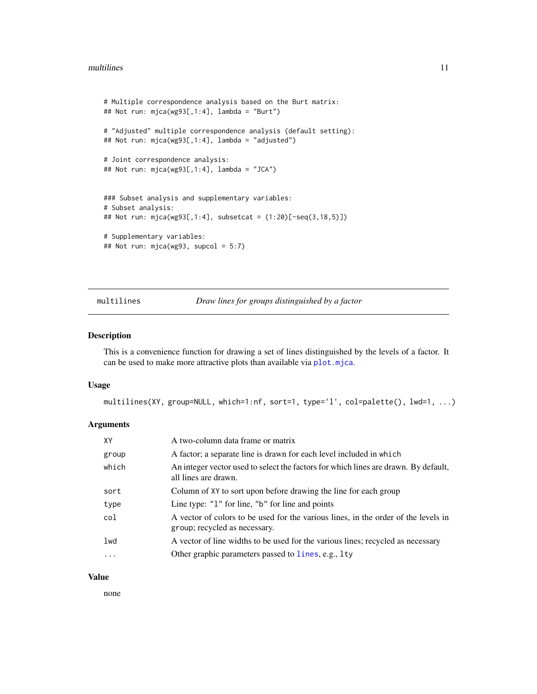```
# Multiple correspondence analysis based on the Burt matrix:
## Not run: mjca(wg93[,1:4], lambda = "Burt")
# "Adjusted" multiple correspondence analysis (default setting):
## Not run: mjca(wg93[,1:4], lambda = "adjusted")
# Joint correspondence analysis:
## Not run: mjca(wg93[,1:4], lambda = "JCA")
### Subset analysis and supplementary variables:
# Subset analysis:
## Not run: mjca(wg93[,1:4], subsetcat = (1:20)[-seq(3,18,5)])
# Supplementary variables:
## Not run: mjca(wg93, supcol = 5:7)
```
multilines *Draw lines for groups distinguished by a factor*

#### Description

This is a convenience function for drawing a set of lines distinguished by the levels of a factor. It can be used to make more attractive plots than available via [plot.mjca](#page-15-1).

#### Usage

multilines(XY, group=NULL, which=1:nf, sort=1, type='l', col=palette(), lwd=1, ...)

#### Arguments

| XY    | A two-column data frame or matrix                                                                                   |
|-------|---------------------------------------------------------------------------------------------------------------------|
| group | A factor; a separate line is drawn for each level included in which                                                 |
| which | An integer vector used to select the factors for which lines are drawn. By default,<br>all lines are drawn.         |
| sort  | Column of XY to sort upon before drawing the line for each group                                                    |
| type  | Line type: " $1$ " for line, " $b$ " for line and points                                                            |
| col   | A vector of colors to be used for the various lines, in the order of the levels in<br>group; recycled as necessary. |
| lwd   | A vector of line widths to be used for the various lines; recycled as necessary                                     |
| .     | Other graphic parameters passed to lines, e.g., lty                                                                 |

#### Value

none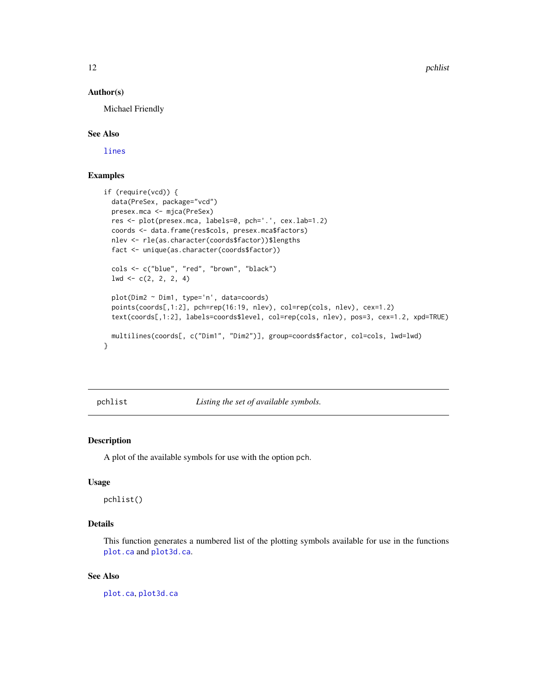<span id="page-11-0"></span>12 pchlist and the property of the set of the problem of the problem of the problem of the problem of the problem of the problem of the problem of the problem of the problem of the problem of the problem of the problem of

#### Author(s)

Michael Friendly

#### See Also

[lines](#page-0-0)

# Examples

```
if (require(vcd)) {
 data(PreSex, package="vcd")
 presex.mca <- mjca(PreSex)
 res <- plot(presex.mca, labels=0, pch='.', cex.lab=1.2)
 coords <- data.frame(res$cols, presex.mca$factors)
 nlev <- rle(as.character(coords$factor))$lengths
 fact <- unique(as.character(coords$factor))
 cols <- c("blue", "red", "brown", "black")
 1wd \leftarrow c(2, 2, 2, 4)plot(Dim2 ~ Dim1, type='n', data=coords)
 points(coords[,1:2], pch=rep(16:19, nlev), col=rep(cols, nlev), cex=1.2)
 text(coords[,1:2], labels=coords$level, col=rep(cols, nlev), pos=3, cex=1.2, xpd=TRUE)
 multilines(coords[, c("Dim1", "Dim2")], group=coords$factor, col=cols, lwd=lwd)
}
```
<span id="page-11-1"></span>pchlist *Listing the set of available symbols.*

# Description

A plot of the available symbols for use with the option pch.

#### Usage

pchlist()

# Details

This function generates a numbered list of the plotting symbols available for use in the functions [plot.ca](#page-12-1) and [plot3d.ca](#page-17-1).

#### See Also

[plot.ca](#page-12-1), [plot3d.ca](#page-17-1)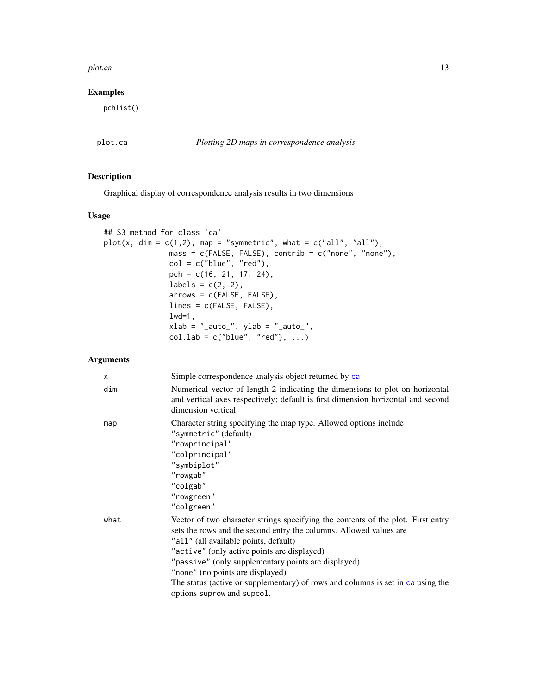#### <span id="page-12-0"></span>plot.ca and the state of the state of the state of the state of the state of the state of the state of the state of the state of the state of the state of the state of the state of the state of the state of the state of th

# Examples

pchlist()

# <span id="page-12-1"></span>plot.ca *Plotting 2D maps in correspondence analysis*

# Description

Graphical display of correspondence analysis results in two dimensions

# Usage

```
## S3 method for class 'ca'
plot(x, dim = c(1,2), map = "symmetric", what = c("all", "all"),mass = c(FALSE, FALSE), contrib = c("none", "none"),
              col = c("blue", "red"),pch = c(16, 21, 17, 24),
              labels = c(2, 2),
              arrows = c(FALSE, FALSE),lines = c(FALSE, FALSE),
              1wd=1,
              xlab = "_auto", ylab = "_auto",col.lab = c("blue", "red"), ...
```

| X    | Simple correspondence analysis object returned by ca                                                                                                                                                                                                                                                                                                                                                                                                       |
|------|------------------------------------------------------------------------------------------------------------------------------------------------------------------------------------------------------------------------------------------------------------------------------------------------------------------------------------------------------------------------------------------------------------------------------------------------------------|
| dim  | Numerical vector of length 2 indicating the dimensions to plot on horizontal<br>and vertical axes respectively; default is first dimension horizontal and second<br>dimension vertical.                                                                                                                                                                                                                                                                    |
| map  | Character string specifying the map type. Allowed options include<br>"symmetric" (default)<br>"rowprincipal"<br>"colprincipal"<br>"symbiplot"<br>"rowgab"<br>"colgab"<br>"rowgreen"<br>"colgreen"                                                                                                                                                                                                                                                          |
| what | Vector of two character strings specifying the contents of the plot. First entry<br>sets the rows and the second entry the columns. Allowed values are<br>"all" (all available points, default)<br>"active" (only active points are displayed)<br>"passive" (only supplementary points are displayed)<br>"none" (no points are displayed)<br>The status (active or supplementary) of rows and columns is set in ca using the<br>options suprow and supcol. |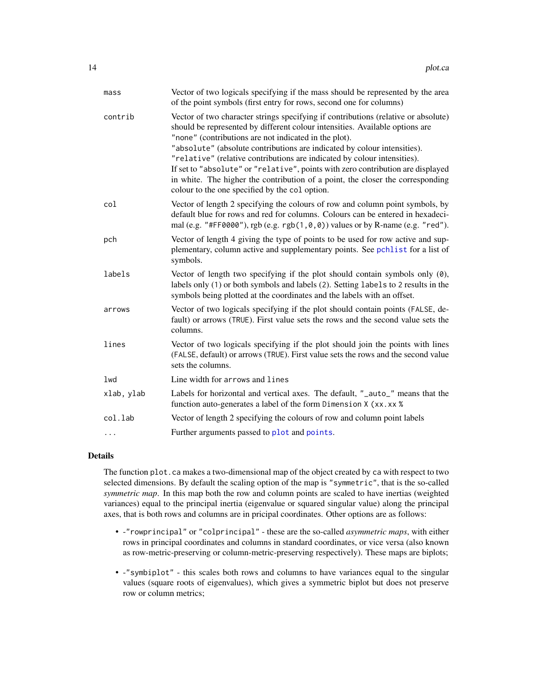<span id="page-13-0"></span>

| mass       | Vector of two logicals specifying if the mass should be represented by the area<br>of the point symbols (first entry for rows, second one for columns)                                                                                                                                                                                                                                                                                                                                                                                                                                                     |
|------------|------------------------------------------------------------------------------------------------------------------------------------------------------------------------------------------------------------------------------------------------------------------------------------------------------------------------------------------------------------------------------------------------------------------------------------------------------------------------------------------------------------------------------------------------------------------------------------------------------------|
| contrib    | Vector of two character strings specifying if contributions (relative or absolute)<br>should be represented by different colour intensities. Available options are<br>"none" (contributions are not indicated in the plot).<br>"absolute" (absolute contributions are indicated by colour intensities).<br>"relative" (relative contributions are indicated by colour intensities).<br>If set to "absolute" or "relative", points with zero contribution are displayed<br>in white. The higher the contribution of a point, the closer the corresponding<br>colour to the one specified by the col option. |
| col        | Vector of length 2 specifying the colours of row and column point symbols, by<br>default blue for rows and red for columns. Colours can be entered in hexadeci-<br>mal (e.g. "#FF0000"), rgb (e.g. $rgb(1, 0, 0))$ values or by R-name (e.g. "red").                                                                                                                                                                                                                                                                                                                                                       |
| pch        | Vector of length 4 giving the type of points to be used for row active and sup-<br>plementary, column active and supplementary points. See pchlist for a list of<br>symbols.                                                                                                                                                                                                                                                                                                                                                                                                                               |
| labels     | Vector of length two specifying if the plot should contain symbols only (0),<br>labels only (1) or both symbols and labels (2). Setting labels to 2 results in the<br>symbols being plotted at the coordinates and the labels with an offset.                                                                                                                                                                                                                                                                                                                                                              |
| arrows     | Vector of two logicals specifying if the plot should contain points (FALSE, de-<br>fault) or arrows (TRUE). First value sets the rows and the second value sets the<br>columns.                                                                                                                                                                                                                                                                                                                                                                                                                            |
| lines      | Vector of two logicals specifying if the plot should join the points with lines<br>(FALSE, default) or arrows (TRUE). First value sets the rows and the second value<br>sets the columns.                                                                                                                                                                                                                                                                                                                                                                                                                  |
| lwd        | Line width for arrows and lines                                                                                                                                                                                                                                                                                                                                                                                                                                                                                                                                                                            |
| xlab, ylab | Labels for horizontal and vertical axes. The default, "_auto_" means that the<br>function auto-generates a label of the form Dimension X (xx.xx %                                                                                                                                                                                                                                                                                                                                                                                                                                                          |
| col.lab    | Vector of length 2 specifying the colours of row and column point labels                                                                                                                                                                                                                                                                                                                                                                                                                                                                                                                                   |
| $\cdots$   | Further arguments passed to plot and points.                                                                                                                                                                                                                                                                                                                                                                                                                                                                                                                                                               |

#### Details

The function plot.ca makes a two-dimensional map of the object created by ca with respect to two selected dimensions. By default the scaling option of the map is "symmetric", that is the so-called *symmetric map*. In this map both the row and column points are scaled to have inertias (weighted variances) equal to the principal inertia (eigenvalue or squared singular value) along the principal axes, that is both rows and columns are in pricipal coordinates. Other options are as follows:

- -"rowprincipal" or "colprincipal" these are the so-called *asymmetric maps*, with either rows in principal coordinates and columns in standard coordinates, or vice versa (also known as row-metric-preserving or column-metric-preserving respectively). These maps are biplots;
- -"symbiplot" this scales both rows and columns to have variances equal to the singular values (square roots of eigenvalues), which gives a symmetric biplot but does not preserve row or column metrics;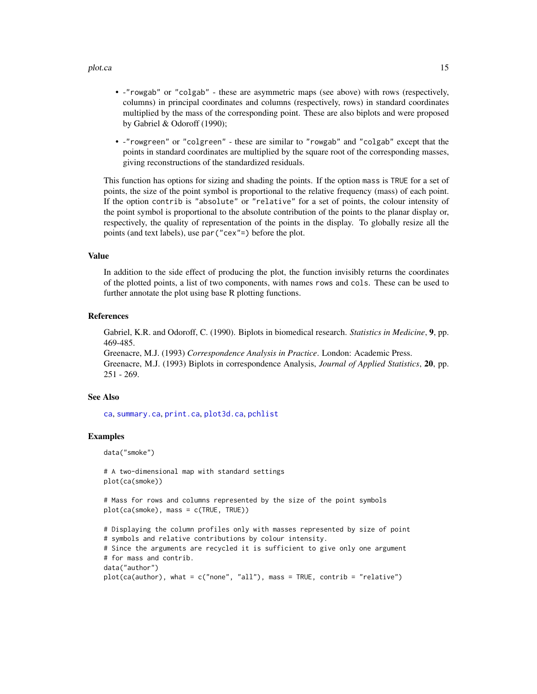#### <span id="page-14-0"></span>plot.ca and the state of the state of the state of the state of the state of the state of the state of the state of the state of the state of the state of the state of the state of the state of the state of the state of th

- -"rowgab" or "colgab" these are asymmetric maps (see above) with rows (respectively, columns) in principal coordinates and columns (respectively, rows) in standard coordinates multiplied by the mass of the corresponding point. These are also biplots and were proposed by Gabriel & Odoroff (1990);
- -"rowgreen" or "colgreen" these are similar to "rowgab" and "colgab" except that the points in standard coordinates are multiplied by the square root of the corresponding masses, giving reconstructions of the standardized residuals.

This function has options for sizing and shading the points. If the option mass is TRUE for a set of points, the size of the point symbol is proportional to the relative frequency (mass) of each point. If the option contrib is "absolute" or "relative" for a set of points, the colour intensity of the point symbol is proportional to the absolute contribution of the points to the planar display or, respectively, the quality of representation of the points in the display. To globally resize all the points (and text labels), use par("cex"=) before the plot.

#### Value

In addition to the side effect of producing the plot, the function invisibly returns the coordinates of the plotted points, a list of two components, with names rows and cols. These can be used to further annotate the plot using base R plotting functions.

#### References

Gabriel, K.R. and Odoroff, C. (1990). Biplots in biomedical research. *Statistics in Medicine*, 9, pp. 469-485.

Greenacre, M.J. (1993) *Correspondence Analysis in Practice*. London: Academic Press. Greenacre, M.J. (1993) Biplots in correspondence Analysis, *Journal of Applied Statistics*, 20, pp. 251 - 269.

#### See Also

[ca](#page-1-1), [summary.ca](#page-22-1), [print.ca](#page-19-1), [plot3d.ca](#page-17-1), [pchlist](#page-11-1)

#### Examples

```
data("smoke")
```

```
# A two-dimensional map with standard settings
plot(ca(smoke))
```

```
# Mass for rows and columns represented by the size of the point symbols
plot(ca(smoke), mass = c(TRUE, TRUE))
```

```
# Displaying the column profiles only with masses represented by size of point
# symbols and relative contributions by colour intensity.
# Since the arguments are recycled it is sufficient to give only one argument
# for mass and contrib.
data("author")
plot(ca(author), what = c("none", "all"), mass = TRUE, contrib = "relative")
```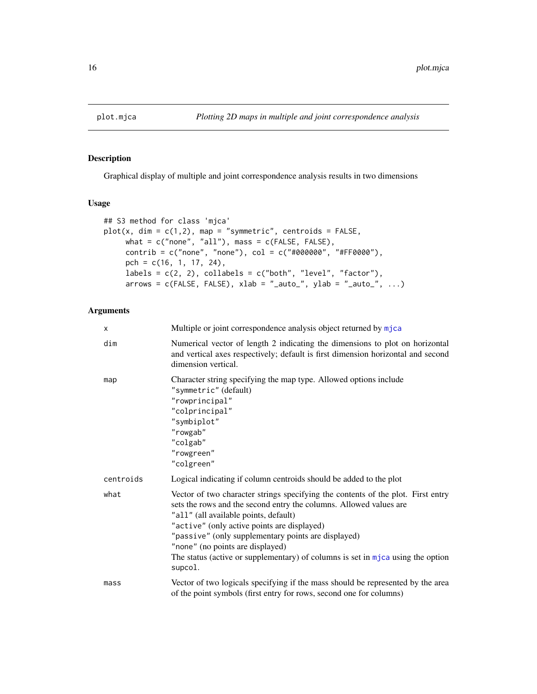<span id="page-15-1"></span><span id="page-15-0"></span>

Graphical display of multiple and joint correspondence analysis results in two dimensions

# Usage

```
## S3 method for class 'mjca'
plot(x, dim = c(1,2), map = "symmetric", centroids = FALSE,what = c("none", "all"), mass = c(FALSE, FALSE),control = c("none", "none"), col = c("#000000", "#FF0000"),pch = c(16, 1, 17, 24),
    labels = c(2, 2), collabels = c("both", "level", "factor"),arrows = c(FALSE, FALSE), xlab = "_auto", ylab = "_auto", ...)
```

| $\times$  | Multiple or joint correspondence analysis object returned by mjca                                                                                                                                                                                                                                                                                                                                                                         |
|-----------|-------------------------------------------------------------------------------------------------------------------------------------------------------------------------------------------------------------------------------------------------------------------------------------------------------------------------------------------------------------------------------------------------------------------------------------------|
| dim       | Numerical vector of length 2 indicating the dimensions to plot on horizontal<br>and vertical axes respectively; default is first dimension horizontal and second<br>dimension vertical.                                                                                                                                                                                                                                                   |
| map       | Character string specifying the map type. Allowed options include<br>"symmetric" (default)<br>"rowprincipal"<br>"colprincipal"<br>"symbiplot"<br>"rowgab"<br>"colgab"<br>"rowgreen"<br>"colgreen"                                                                                                                                                                                                                                         |
| centroids | Logical indicating if column centroids should be added to the plot                                                                                                                                                                                                                                                                                                                                                                        |
| what      | Vector of two character strings specifying the contents of the plot. First entry<br>sets the rows and the second entry the columns. Allowed values are<br>"all" (all available points, default)<br>"active" (only active points are displayed)<br>"passive" (only supplementary points are displayed)<br>"none" (no points are displayed)<br>The status (active or supplementary) of columns is set in $mjca$ using the option<br>supcol. |
| mass      | Vector of two logicals specifying if the mass should be represented by the area<br>of the point symbols (first entry for rows, second one for columns)                                                                                                                                                                                                                                                                                    |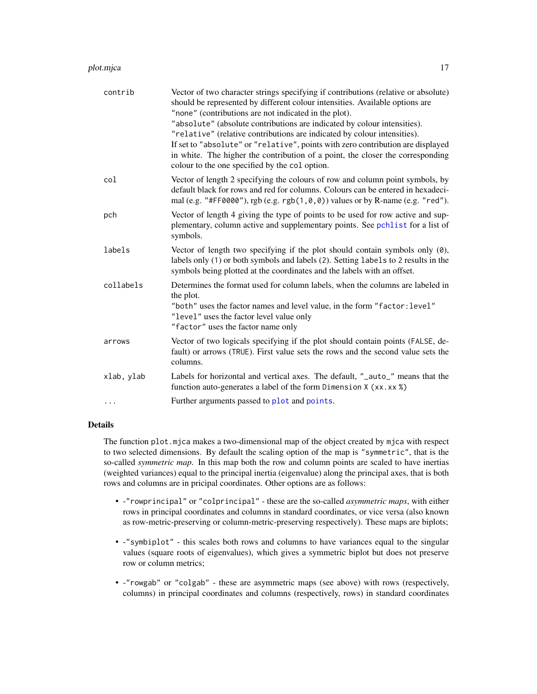#### <span id="page-16-0"></span>plot.mjca 17

| contrib    | Vector of two character strings specifying if contributions (relative or absolute)<br>should be represented by different colour intensities. Available options are<br>"none" (contributions are not indicated in the plot).<br>"absolute" (absolute contributions are indicated by colour intensities).<br>"relative" (relative contributions are indicated by colour intensities).<br>If set to "absolute" or "relative", points with zero contribution are displayed<br>in white. The higher the contribution of a point, the closer the corresponding<br>colour to the one specified by the col option. |
|------------|------------------------------------------------------------------------------------------------------------------------------------------------------------------------------------------------------------------------------------------------------------------------------------------------------------------------------------------------------------------------------------------------------------------------------------------------------------------------------------------------------------------------------------------------------------------------------------------------------------|
| col        | Vector of length 2 specifying the colours of row and column point symbols, by<br>default black for rows and red for columns. Colours can be entered in hexadeci-<br>mal (e.g. "#FF0000"), rgb (e.g. rgb(1,0,0)) values or by R-name (e.g. "red").                                                                                                                                                                                                                                                                                                                                                          |
| pch        | Vector of length 4 giving the type of points to be used for row active and sup-<br>plementary, column active and supplementary points. See pchlist for a list of<br>symbols.                                                                                                                                                                                                                                                                                                                                                                                                                               |
| labels     | Vector of length two specifying if the plot should contain symbols only (0),<br>labels only (1) or both symbols and labels (2). Setting labels to 2 results in the<br>symbols being plotted at the coordinates and the labels with an offset.                                                                                                                                                                                                                                                                                                                                                              |
| collabels  | Determines the format used for column labels, when the columns are labeled in<br>the plot.<br>"both" uses the factor names and level value, in the form "factor: level"<br>"level" uses the factor level value only<br>"factor" uses the factor name only                                                                                                                                                                                                                                                                                                                                                  |
| arrows     | Vector of two logicals specifying if the plot should contain points (FALSE, de-<br>fault) or arrows (TRUE). First value sets the rows and the second value sets the<br>columns.                                                                                                                                                                                                                                                                                                                                                                                                                            |
| xlab, ylab | Labels for horizontal and vertical axes. The default, "_auto_" means that the<br>function auto-generates a label of the form Dimension X (xx.xx %)                                                                                                                                                                                                                                                                                                                                                                                                                                                         |
| $\cdots$   | Further arguments passed to plot and points.                                                                                                                                                                                                                                                                                                                                                                                                                                                                                                                                                               |

# Details

The function plot.mjca makes a two-dimensional map of the object created by mjca with respect to two selected dimensions. By default the scaling option of the map is "symmetric", that is the so-called *symmetric map*. In this map both the row and column points are scaled to have inertias (weighted variances) equal to the principal inertia (eigenvalue) along the principal axes, that is both rows and columns are in pricipal coordinates. Other options are as follows:

- -"rowprincipal" or "colprincipal" these are the so-called *asymmetric maps*, with either rows in principal coordinates and columns in standard coordinates, or vice versa (also known as row-metric-preserving or column-metric-preserving respectively). These maps are biplots;
- -"symbiplot" this scales both rows and columns to have variances equal to the singular values (square roots of eigenvalues), which gives a symmetric biplot but does not preserve row or column metrics;
- -"rowgab" or "colgab" these are asymmetric maps (see above) with rows (respectively, columns) in principal coordinates and columns (respectively, rows) in standard coordinates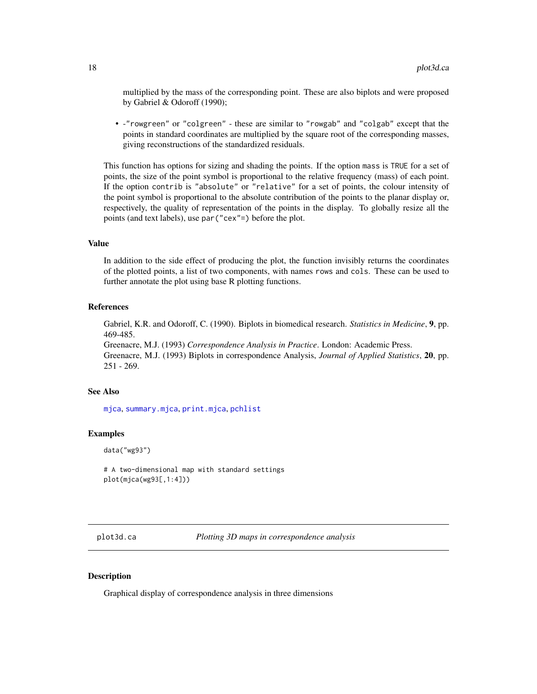<span id="page-17-0"></span>multiplied by the mass of the corresponding point. These are also biplots and were proposed by Gabriel & Odoroff (1990);

• -"rowgreen" or "colgreen" - these are similar to "rowgab" and "colgab" except that the points in standard coordinates are multiplied by the square root of the corresponding masses, giving reconstructions of the standardized residuals.

This function has options for sizing and shading the points. If the option mass is TRUE for a set of points, the size of the point symbol is proportional to the relative frequency (mass) of each point. If the option contrib is "absolute" or "relative" for a set of points, the colour intensity of the point symbol is proportional to the absolute contribution of the points to the planar display or, respectively, the quality of representation of the points in the display. To globally resize all the points (and text labels), use par("cex"=) before the plot.

#### Value

In addition to the side effect of producing the plot, the function invisibly returns the coordinates of the plotted points, a list of two components, with names rows and cols. These can be used to further annotate the plot using base R plotting functions.

#### References

Gabriel, K.R. and Odoroff, C. (1990). Biplots in biomedical research. *Statistics in Medicine*, 9, pp. 469-485.

Greenacre, M.J. (1993) *Correspondence Analysis in Practice*. London: Academic Press. Greenacre, M.J. (1993) Biplots in correspondence Analysis, *Journal of Applied Statistics*, 20, pp. 251 - 269.

# See Also

[mjca](#page-7-1), [summary.mjca](#page-23-1), [print.mjca](#page-20-1), [pchlist](#page-11-1)

#### Examples

```
data("wg93")
```

```
# A two-dimensional map with standard settings
plot(mjca(wg93[,1:4]))
```
<span id="page-17-1"></span>plot3d.ca *Plotting 3D maps in correspondence analysis*

# Description

Graphical display of correspondence analysis in three dimensions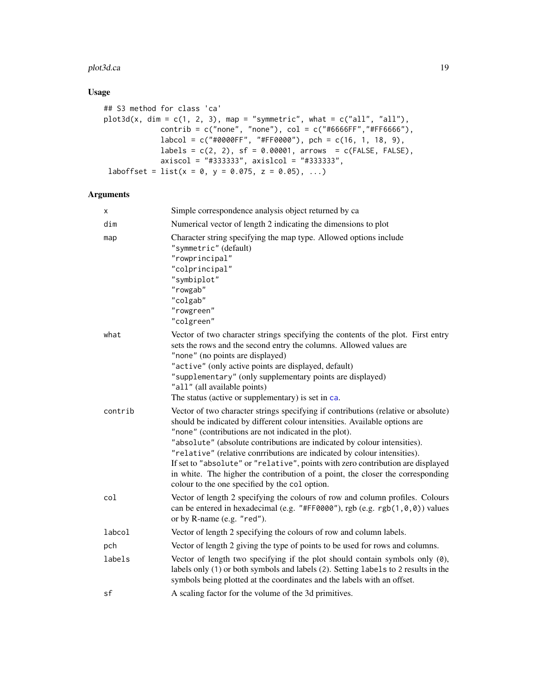#### <span id="page-18-0"></span>plot3d.ca 19

# Usage

```
## S3 method for class 'ca'
plot3d(x, dim = c(1, 2, 3), map = "symmetric", what = c("all", "all"),contrib = c("none", "none"), col = c("#6666FF", "#FF6666"),labcd = c("#0000FF", "#FF0000"), pch = c(16, 1, 18, 9),labels = c(2, 2), sf = 0.00001, arrows = c(FALSE, FALSE),axiscol = "#333333", axislcol = "#333333",
laboffset = list(x = 0, y = 0.075, z = 0.05), ...
```

| x       | Simple correspondence analysis object returned by ca                                                                                                                                                                                                                                                                                                                                                                                                                                                                                                                                                     |
|---------|----------------------------------------------------------------------------------------------------------------------------------------------------------------------------------------------------------------------------------------------------------------------------------------------------------------------------------------------------------------------------------------------------------------------------------------------------------------------------------------------------------------------------------------------------------------------------------------------------------|
| dim     | Numerical vector of length 2 indicating the dimensions to plot                                                                                                                                                                                                                                                                                                                                                                                                                                                                                                                                           |
| map     | Character string specifying the map type. Allowed options include<br>"symmetric" (default)<br>"rowprincipal"<br>"colprincipal"<br>"symbiplot"<br>"rowgab"<br>"colgab"<br>"rowgreen"<br>"colgreen"                                                                                                                                                                                                                                                                                                                                                                                                        |
| what    | Vector of two character strings specifying the contents of the plot. First entry<br>sets the rows and the second entry the columns. Allowed values are<br>"none" (no points are displayed)<br>"active" (only active points are displayed, default)<br>"supplementary" (only supplementary points are displayed)<br>"all" (all available points)<br>The status (active or supplementary) is set in ca.                                                                                                                                                                                                    |
| contrib | Vector of two character strings specifying if contributions (relative or absolute)<br>should be indicated by different colour intensities. Available options are<br>"none" (contributions are not indicated in the plot).<br>"absolute" (absolute contributions are indicated by colour intensities).<br>"relative" (relative conrributions are indicated by colour intensities).<br>If set to "absolute" or "relative", points with zero contribution are displayed<br>in white. The higher the contribution of a point, the closer the corresponding<br>colour to the one specified by the col option. |
| col     | Vector of length 2 specifying the colours of row and column profiles. Colours<br>can be entered in hexadecimal (e.g. "#FF0000"), rgb (e.g. rgb(1,0,0)) values<br>or by R-name (e.g. "red").                                                                                                                                                                                                                                                                                                                                                                                                              |
| labcol  | Vector of length 2 specifying the colours of row and column labels.                                                                                                                                                                                                                                                                                                                                                                                                                                                                                                                                      |
| pch     | Vector of length 2 giving the type of points to be used for rows and columns.                                                                                                                                                                                                                                                                                                                                                                                                                                                                                                                            |
| labels  | Vector of length two specifying if the plot should contain symbols only (0),<br>labels only (1) or both symbols and labels (2). Setting labels to 2 results in the<br>symbols being plotted at the coordinates and the labels with an offset.                                                                                                                                                                                                                                                                                                                                                            |
| sf      | A scaling factor for the volume of the 3d primitives.                                                                                                                                                                                                                                                                                                                                                                                                                                                                                                                                                    |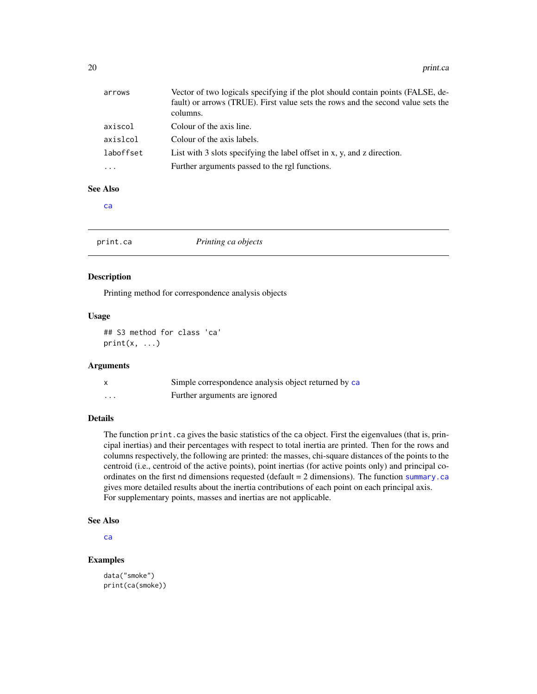<span id="page-19-0"></span>

| arrows    | Vector of two logicals specifying if the plot should contain points (FALSE, de-<br>fault) or arrows (TRUE). First value sets the rows and the second value sets the<br>columns. |
|-----------|---------------------------------------------------------------------------------------------------------------------------------------------------------------------------------|
| axiscol   | Colour of the axis line.                                                                                                                                                        |
| axislcol  | Colour of the axis labels.                                                                                                                                                      |
| laboffset | List with 3 slots specifying the label offset in $x$ , $y$ , and $z$ direction.                                                                                                 |
|           | Further arguments passed to the rgl functions.                                                                                                                                  |

# See Also

[ca](#page-1-1)

<span id="page-19-1"></span>

| print.ca | Printing ca objects |  |
|----------|---------------------|--|
|----------|---------------------|--|

#### Description

Printing method for correspondence analysis objects

#### Usage

## S3 method for class 'ca'  $print(x, \ldots)$ 

# Arguments

|   | Simple correspondence analysis object returned by ca |
|---|------------------------------------------------------|
| . | Further arguments are ignored                        |

# Details

The function print.ca gives the basic statistics of the ca object. First the eigenvalues (that is, principal inertias) and their percentages with respect to total inertia are printed. Then for the rows and columns respectively, the following are printed: the masses, chi-square distances of the points to the centroid (i.e., centroid of the active points), point inertias (for active points only) and principal coordinates on the first nd dimensions requested (default = 2 dimensions). The function [summary.ca](#page-22-1) gives more detailed results about the inertia contributions of each point on each principal axis. For supplementary points, masses and inertias are not applicable.

#### See Also

[ca](#page-1-1)

# Examples

```
data("smoke")
print(ca(smoke))
```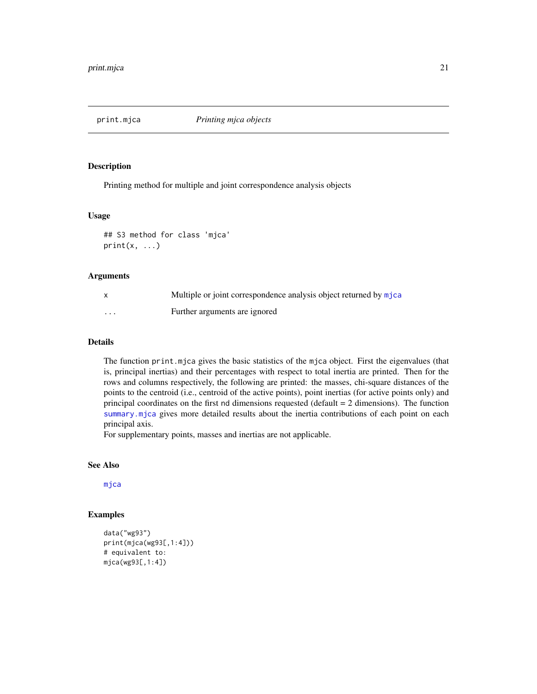<span id="page-20-1"></span><span id="page-20-0"></span>

Printing method for multiple and joint correspondence analysis objects

#### Usage

```
## S3 method for class 'mjca'
print(x, \ldots)
```
# Arguments

|                   | Multiple or joint correspondence analysis object returned by mjca |
|-------------------|-------------------------------------------------------------------|
| $\cdot\cdot\cdot$ | Further arguments are ignored                                     |

# Details

The function print.mjca gives the basic statistics of the mjca object. First the eigenvalues (that is, principal inertias) and their percentages with respect to total inertia are printed. Then for the rows and columns respectively, the following are printed: the masses, chi-square distances of the points to the centroid (i.e., centroid of the active points), point inertias (for active points only) and principal coordinates on the first nd dimensions requested (default = 2 dimensions). The function [summary.mjca](#page-23-1) gives more detailed results about the inertia contributions of each point on each principal axis.

For supplementary points, masses and inertias are not applicable.

#### See Also

[mjca](#page-7-1)

# Examples

```
data("wg93")
print(mjca(wg93[,1:4]))
# equivalent to:
mjca(wg93[,1:4])
```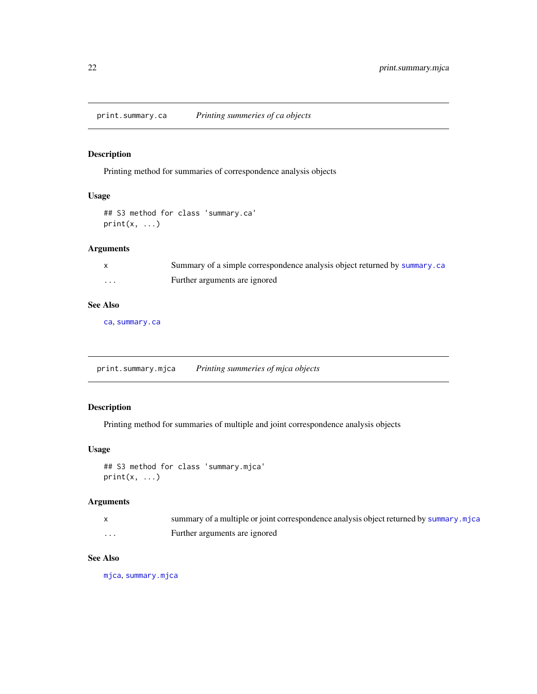<span id="page-21-0"></span>print.summary.ca *Printing summeries of ca objects*

# Description

Printing method for summaries of correspondence analysis objects

#### Usage

```
## S3 method for class 'summary.ca'
print(x, \ldots)
```
# Arguments

|   | Summary of a simple correspondence analysis object returned by summary. ca |
|---|----------------------------------------------------------------------------|
| . | Further arguments are ignored                                              |

# See Also

[ca](#page-1-1), [summary.ca](#page-22-1)

print.summary.mjca *Printing summeries of mjca objects*

# Description

Printing method for summaries of multiple and joint correspondence analysis objects

# Usage

```
## S3 method for class 'summary.mjca'
print(x, \ldots)
```
#### Arguments

|                   | summary of a multiple or joint correspondence analysis object returned by summary. mjca |
|-------------------|-----------------------------------------------------------------------------------------|
| $\cdot\cdot\cdot$ | Further arguments are ignored                                                           |

# See Also

[mjca](#page-7-1), [summary.mjca](#page-23-1)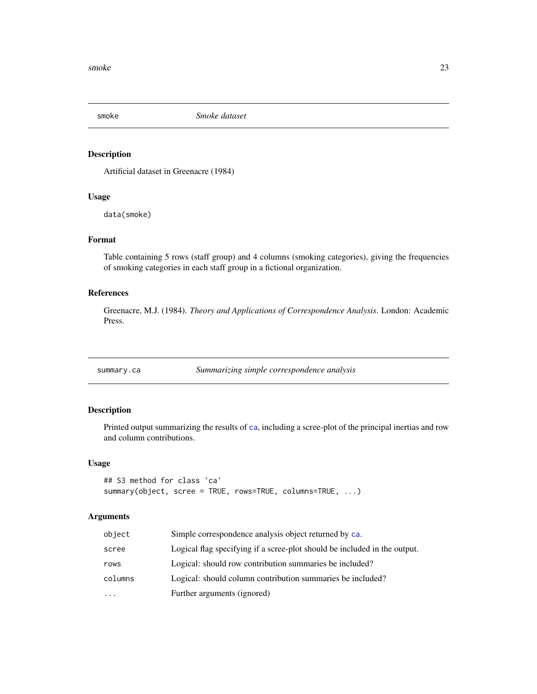<span id="page-22-0"></span>

Artificial dataset in Greenacre (1984)

#### Usage

data(smoke)

#### Format

Table containing 5 rows (staff group) and 4 columns (smoking categories), giving the frequencies of smoking categories in each staff group in a fictional organization.

#### References

Greenacre, M.J. (1984). *Theory and Applications of Correspondence Analysis*. London: Academic Press.

<span id="page-22-1"></span>summary.ca *Summarizing simple correspondence analysis*

# Description

Printed output summarizing the results of [ca](#page-1-1), including a scree-plot of the principal inertias and row and column contributions.

# Usage

```
## S3 method for class 'ca'
summary(object, scree = TRUE, rows=TRUE, columns=TRUE, ...)
```

| object  | Simple correspondence analysis object returned by ca.                     |
|---------|---------------------------------------------------------------------------|
| scree   | Logical flag specifying if a scree-plot should be included in the output. |
| rows    | Logical: should row contribution summaries be included?                   |
| columns | Logical: should column contribution summaries be included?                |
| .       | Further arguments (ignored)                                               |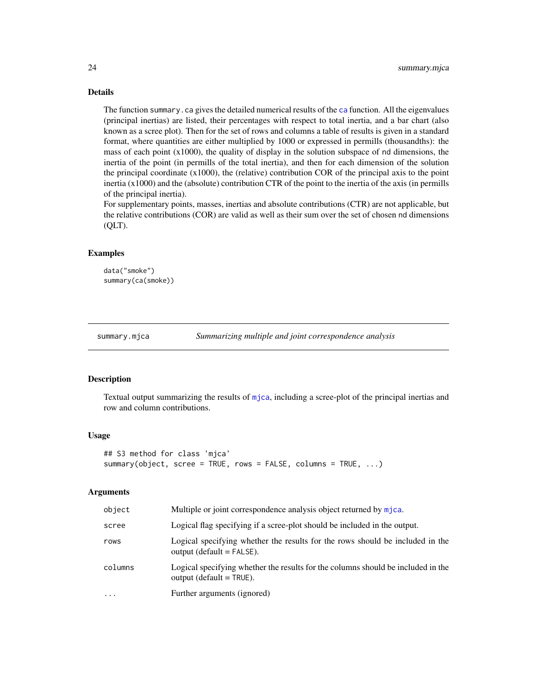# Details

The function summary.ca gives the detailed numerical results of the [ca](#page-1-1) function. All the eigenvalues (principal inertias) are listed, their percentages with respect to total inertia, and a bar chart (also known as a scree plot). Then for the set of rows and columns a table of results is given in a standard format, where quantities are either multiplied by 1000 or expressed in permills (thousandths): the mass of each point  $(x1000)$ , the quality of display in the solution subspace of nd dimensions, the inertia of the point (in permills of the total inertia), and then for each dimension of the solution the principal coordinate  $(x1000)$ , the (relative) contribution COR of the principal axis to the point inertia (x1000) and the (absolute) contribution CTR of the point to the inertia of the axis (in permills of the principal inertia).

For supplementary points, masses, inertias and absolute contributions (CTR) are not applicable, but the relative contributions (COR) are valid as well as their sum over the set of chosen nd dimensions (QLT).

#### Examples

data("smoke") summary(ca(smoke))

<span id="page-23-1"></span>

summary.mjca *Summarizing multiple and joint correspondence analysis*

#### Description

Textual output summarizing the results of [mjca](#page-7-1), including a scree-plot of the principal inertias and row and column contributions.

#### Usage

```
## S3 method for class 'mjca'
summary(object, scree = TRUE, rows = FALSE, columns = TRUE, ...)
```

| object    | Multiple or joint correspondence analysis object returned by mica.                                             |
|-----------|----------------------------------------------------------------------------------------------------------------|
| scree     | Logical flag specifying if a scree-plot should be included in the output.                                      |
| rows      | Logical specifying whether the results for the rows should be included in the<br>$output$ (default = FALSE).   |
| columns   | Logical specifying whether the results for the columns should be included in the<br>output (default $=$ TRUE). |
| $\ddotsc$ | Further arguments (ignored)                                                                                    |

<span id="page-23-0"></span>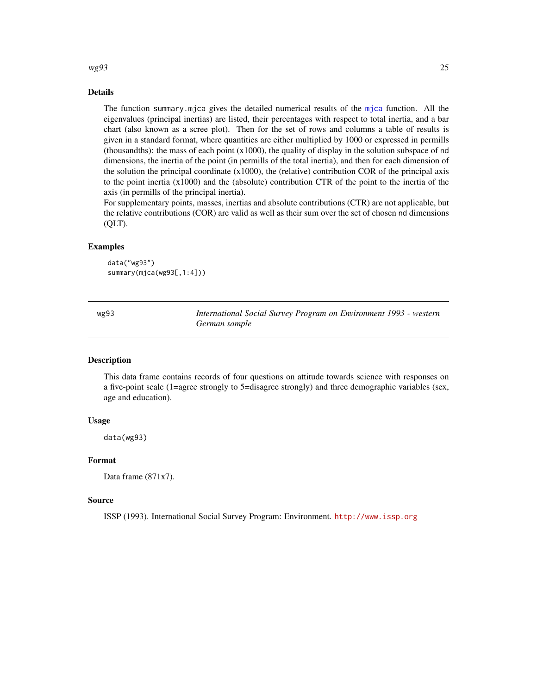#### <span id="page-24-0"></span> $wg93$  25

# Details

The function summary.mjca gives the detailed numerical results of the [mjca](#page-7-1) function. All the eigenvalues (principal inertias) are listed, their percentages with respect to total inertia, and a bar chart (also known as a scree plot). Then for the set of rows and columns a table of results is given in a standard format, where quantities are either multiplied by 1000 or expressed in permills (thousandths): the mass of each point  $(x1000)$ , the quality of display in the solution subspace of nd dimensions, the inertia of the point (in permills of the total inertia), and then for each dimension of the solution the principal coordinate  $(x1000)$ , the (relative) contribution COR of the principal axis to the point inertia (x1000) and the (absolute) contribution CTR of the point to the inertia of the axis (in permills of the principal inertia).

For supplementary points, masses, inertias and absolute contributions (CTR) are not applicable, but the relative contributions (COR) are valid as well as their sum over the set of chosen nd dimensions (QLT).

#### Examples

```
data("wg93")
summary(mjca(wg93[,1:4]))
```
wg93 *International Social Survey Program on Environment 1993 - western German sample*

#### Description

This data frame contains records of four questions on attitude towards science with responses on a five-point scale (1=agree strongly to 5=disagree strongly) and three demographic variables (sex, age and education).

#### Usage

data(wg93)

#### Format

Data frame (871x7).

#### Source

ISSP (1993). International Social Survey Program: Environment. <http://www.issp.org>